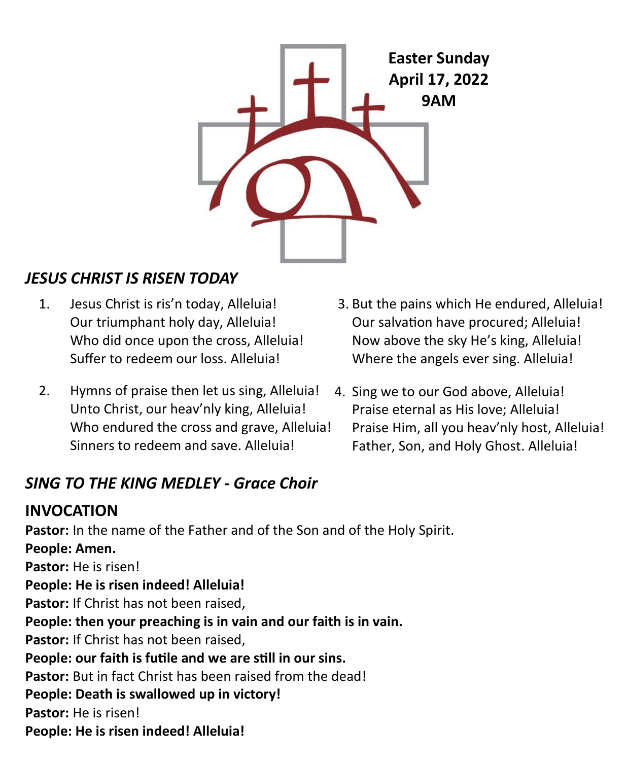

# *JESUS CHRIST IS RISEN TODAY*

- 1. Jesus Christ is ris'n today, Alleluia! Our triumphant holy day, Alleluia! Who did once upon the cross, Alleluia! Suffer to redeem our loss. Alleluia!
- 2. Hymns of praise then let us sing, Alleluia! Unto Christ, our heav'nly king, Alleluia! Who endured the cross and grave, Alleluia! Sinners to redeem and save. Alleluia!
- *SING TO THE KING MEDLEY - Grace Choir*

# **INVOCATION**

Pastor: In the name of the Father and of the Son and of the Holy Spirit. **People: Amen. Pastor:** He is risen! **People: He is risen indeed! Alleluia! Pastor:** If Christ has not been raised, **People: then your preaching is in vain and our faith is in vain. Pastor:** If Christ has not been raised, **People: our faith is futile and we are still in our sins. Pastor:** But in fact Christ has been raised from the dead! **People: Death is swallowed up in victory! Pastor:** He is risen! **People: He is risen indeed! Alleluia!**

- 3. But the pains which He endured, Alleluia! Our salvation have procured; Alleluia! Now above the sky He's king, Alleluia! Where the angels ever sing. Alleluia!
- 4. Sing we to our God above, Alleluia! Praise eternal as His love; Alleluia! Praise Him, all you heav'nly host, Alleluia! Father, Son, and Holy Ghost. Alleluia!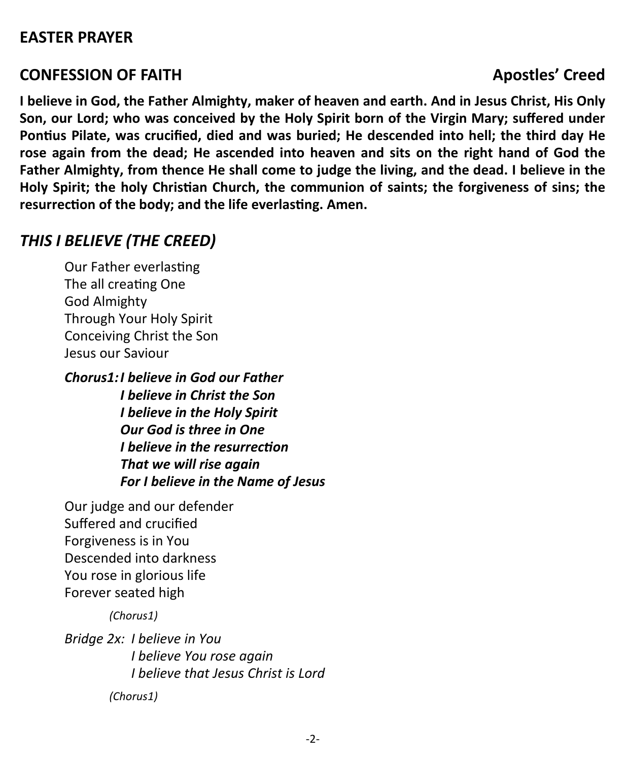## **CONFESSION OF FAITH Apostles' Creed**

**I believe in God, the Father Almighty, maker of heaven and earth. And in Jesus Christ, His Only Son, our Lord; who was conceived by the Holy Spirit born of the Virgin Mary; suffered under Pontius Pilate, was crucified, died and was buried; He descended into hell; the third day He rose again from the dead; He ascended into heaven and sits on the right hand of God the Father Almighty, from thence He shall come to judge the living, and the dead. I believe in the Holy Spirit; the holy Christian Church, the communion of saints; the forgiveness of sins; the resurrection of the body; and the life everlasting. Amen.**

# *THIS I BELIEVE (THE CREED)*

Our Father everlasting The all creating One God Almighty Through Your Holy Spirit Conceiving Christ the Son Jesus our Saviour

*Chorus1:I believe in God our Father I believe in Christ the Son I believe in the Holy Spirit Our God is three in One I believe in the resurrection That we will rise again For I believe in the Name of Jesus*

Our judge and our defender Suffered and crucified Forgiveness is in You Descended into darkness You rose in glorious life Forever seated high

*(Chorus1)*

*Bridge 2x: I believe in You I believe You rose again I believe that Jesus Christ is Lord (Chorus1)*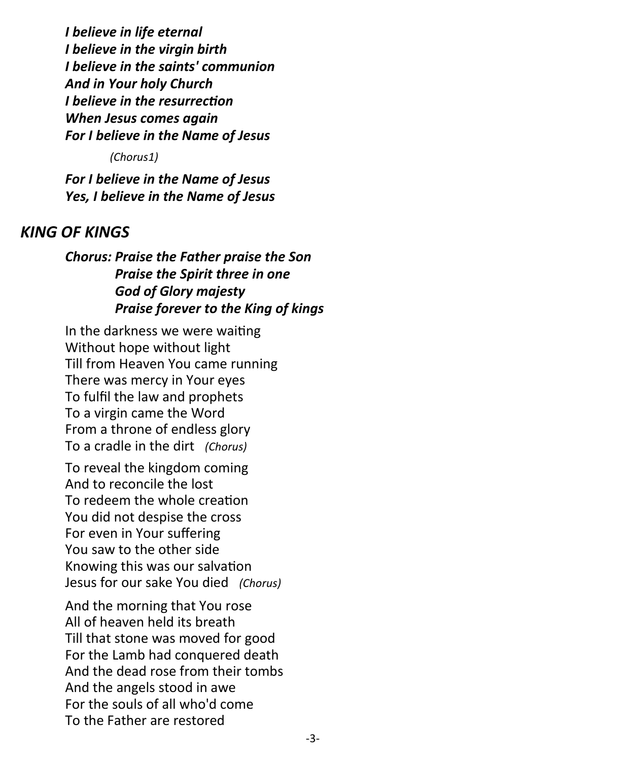*I believe in life eternal I believe in the virgin birth I believe in the saints' communion And in Your holy Church I believe in the resurrection When Jesus comes again For I believe in the Name of Jesus*

*(Chorus1)*

*For I believe in the Name of Jesus Yes, I believe in the Name of Jesus*

#### *KING OF KINGS*

#### *Chorus: Praise the Father praise the Son Praise the Spirit three in one God of Glory majesty Praise forever to the King of kings*

In the darkness we were waiting Without hope without light Till from Heaven You came running There was mercy in Your eyes To fulfil the law and prophets To a virgin came the Word From a throne of endless glory To a cradle in the dirt *(Chorus)*

To reveal the kingdom coming And to reconcile the lost To redeem the whole creation You did not despise the cross For even in Your suffering You saw to the other side Knowing this was our salvation Jesus for our sake You died *(Chorus)*

And the morning that You rose All of heaven held its breath Till that stone was moved for good For the Lamb had conquered death And the dead rose from their tombs And the angels stood in awe For the souls of all who'd come To the Father are restored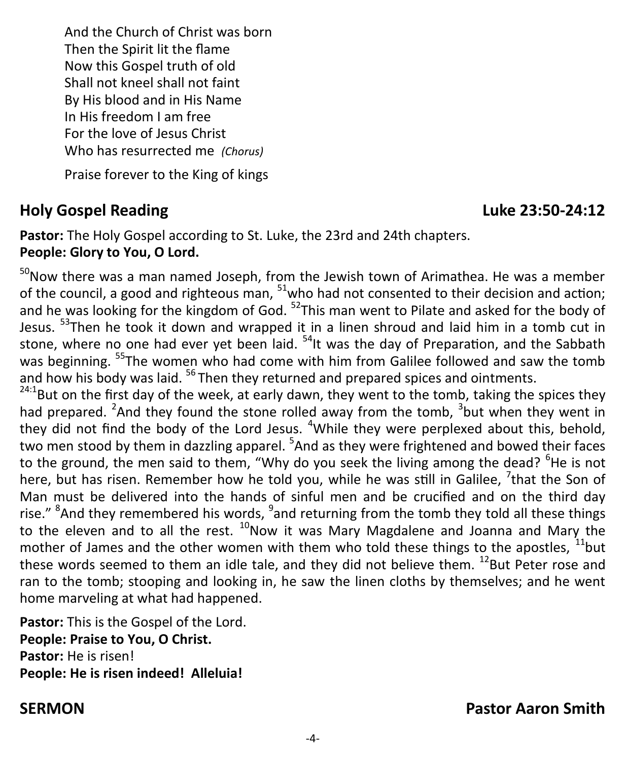And the Church of Christ was born Then the Spirit lit the flame Now this Gospel truth of old Shall not kneel shall not faint By His blood and in His Name In His freedom I am free For the love of Jesus Christ Who has resurrected me *(Chorus)*

Praise forever to the King of kings

# **Holy Gospel Reading Luke 23:50-24:12**

**Pastor:** The Holy Gospel according to St. Luke, the 23rd and 24th chapters. **People: Glory to You, O Lord.**

<sup>50</sup>Now there was a man named Joseph, from the Jewish town of Arimathea. He was a member of the council, a good and righteous man, <sup>51</sup>who had not consented to their decision and action; and he was looking for the kingdom of God.  $52$ This man went to Pilate and asked for the body of Jesus. <sup>53</sup>Then he took it down and wrapped it in a linen shroud and laid him in a tomb cut in stone, where no one had ever yet been laid.  $54$ It was the day of Preparation, and the Sabbath was beginning. <sup>55</sup>The women who had come with him from Galilee followed and saw the tomb and how his body was laid. <sup>56</sup> Then they returned and prepared spices and ointments.

 $24:1$ But on the first day of the week, at early dawn, they went to the tomb, taking the spices they had prepared. <sup>2</sup>And they found the stone rolled away from the tomb, <sup>3</sup>but when they went in they did not find the body of the Lord Jesus. <sup>4</sup>While they were perplexed about this, behold, two men stood by them in dazzling apparel. <sup>5</sup>And as they were frightened and bowed their faces to the ground, the men said to them, "Why do you seek the living among the dead? <sup>6</sup>He is not here, but has risen. Remember how he told you, while he was still in Galilee, <sup>7</sup>that the Son of Man must be delivered into the hands of sinful men and be crucified and on the third day rise." <sup>8</sup>And they remembered his words, <sup>9</sup>and returning from the tomb they told all these things to the eleven and to all the rest.  $^{10}$ Now it was Mary Magdalene and Joanna and Mary the mother of James and the other women with them who told these things to the apostles.  $^{11}$ but these words seemed to them an idle tale, and they did not believe them.  $^{12}$ But Peter rose and ran to the tomb; stooping and looking in, he saw the linen cloths by themselves; and he went home marveling at what had happened.

Pastor: This is the Gospel of the Lord. **People: Praise to You, O Christ. Pastor:** He is risen! **People: He is risen indeed! Alleluia!**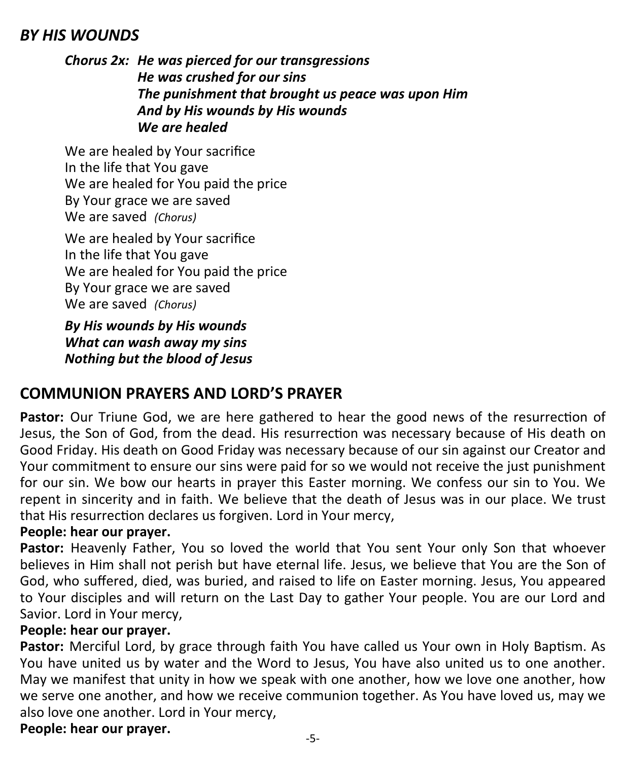### *BY HIS WOUNDS*

*Chorus 2x: He was pierced for our transgressions He was crushed for our sins The punishment that brought us peace was upon Him And by His wounds by His wounds We are healed*

We are healed by Your sacrifice In the life that You gave We are healed for You paid the price By Your grace we are saved We are saved *(Chorus)*

We are healed by Your sacrifice In the life that You gave We are healed for You paid the price By Your grace we are saved We are saved *(Chorus)*

*By His wounds by His wounds What can wash away my sins Nothing but the blood of Jesus*

# **COMMUNION PRAYERS AND LORD'S PRAYER**

**Pastor:** Our Triune God, we are here gathered to hear the good news of the resurrection of Jesus, the Son of God, from the dead. His resurrection was necessary because of His death on Good Friday. His death on Good Friday was necessary because of our sin against our Creator and Your commitment to ensure our sins were paid for so we would not receive the just punishment for our sin. We bow our hearts in prayer this Easter morning. We confess our sin to You. We repent in sincerity and in faith. We believe that the death of Jesus was in our place. We trust that His resurrection declares us forgiven. Lord in Your mercy,

#### **People: hear our prayer.**

Pastor: Heavenly Father, You so loved the world that You sent Your only Son that whoever believes in Him shall not perish but have eternal life. Jesus, we believe that You are the Son of God, who suffered, died, was buried, and raised to life on Easter morning. Jesus, You appeared to Your disciples and will return on the Last Day to gather Your people. You are our Lord and Savior. Lord in Your mercy,

#### **People: hear our prayer.**

**Pastor:** Merciful Lord, by grace through faith You have called us Your own in Holy Baptism. As You have united us by water and the Word to Jesus, You have also united us to one another. May we manifest that unity in how we speak with one another, how we love one another, how we serve one another, and how we receive communion together. As You have loved us, may we also love one another. Lord in Your mercy,

**People: hear our prayer.**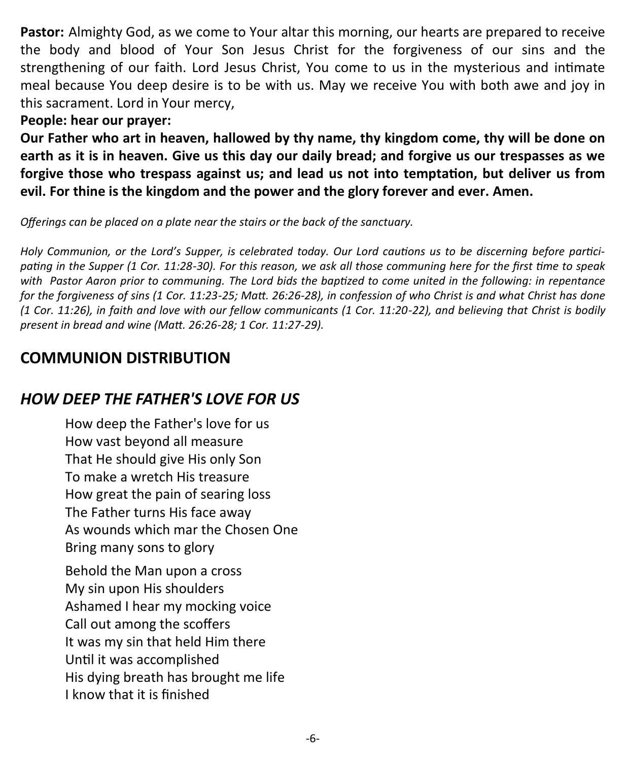**Pastor:** Almighty God, as we come to Your altar this morning, our hearts are prepared to receive the body and blood of Your Son Jesus Christ for the forgiveness of our sins and the strengthening of our faith. Lord Jesus Christ, You come to us in the mysterious and intimate meal because You deep desire is to be with us. May we receive You with both awe and joy in this sacrament. Lord in Your mercy,

#### **People: hear our prayer:**

**Our Father who art in heaven, hallowed by thy name, thy kingdom come, thy will be done on earth as it is in heaven. Give us this day our daily bread; and forgive us our trespasses as we forgive those who trespass against us; and lead us not into temptation, but deliver us from evil. For thine is the kingdom and the power and the glory forever and ever. Amen.**

*Offerings can be placed on a plate near the stairs or the back of the sanctuary.*

*Holy Communion, or the Lord's Supper, is celebrated today. Our Lord cautions us to be discerning before participating in the Supper (1 Cor. 11:28-30). For this reason, we ask all those communing here for the first time to speak with Pastor Aaron prior to communing. The Lord bids the baptized to come united in the following: in repentance for the forgiveness of sins (1 Cor. 11:23-25; Matt. 26:26-28), in confession of who Christ is and what Christ has done (1 Cor. 11:26), in faith and love with our fellow communicants (1 Cor. 11:20-22), and believing that Christ is bodily present in bread and wine (Matt. 26:26-28; 1 Cor. 11:27-29).*

# **COMMUNION DISTRIBUTION**

# *HOW DEEP THE FATHER'S LOVE FOR US*

How deep the Father's love for us How vast beyond all measure That He should give His only Son To make a wretch His treasure How great the pain of searing loss The Father turns His face away As wounds which mar the Chosen One Bring many sons to glory

Behold the Man upon a cross My sin upon His shoulders Ashamed I hear my mocking voice Call out among the scoffers It was my sin that held Him there Until it was accomplished His dying breath has brought me life I know that it is finished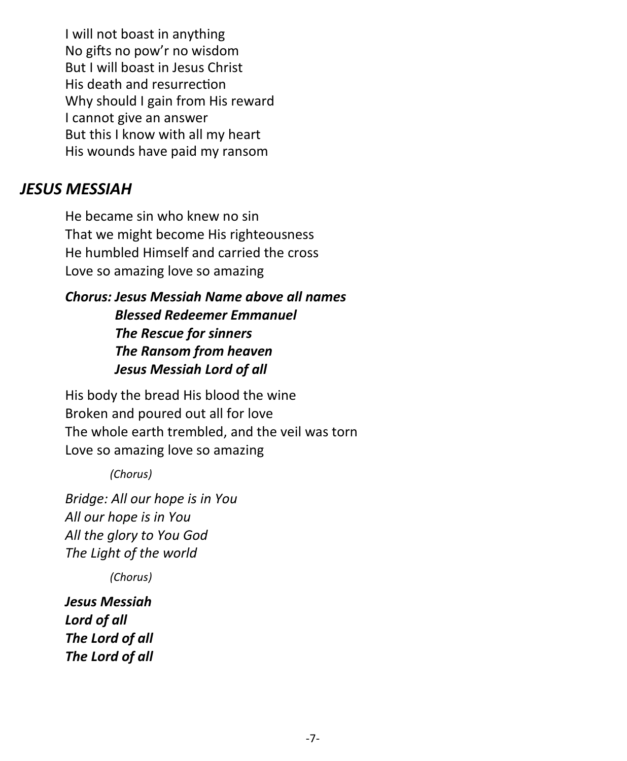I will not boast in anything No gifts no pow'r no wisdom But I will boast in Jesus Christ His death and resurrection Why should I gain from His reward I cannot give an answer But this I know with all my heart His wounds have paid my ransom

### *JESUS MESSIAH*

He became sin who knew no sin That we might become His righteousness He humbled Himself and carried the cross Love so amazing love so amazing

*Chorus: Jesus Messiah Name above all names Blessed Redeemer Emmanuel The Rescue for sinners The Ransom from heaven Jesus Messiah Lord of all*

His body the bread His blood the wine Broken and poured out all for love The whole earth trembled, and the veil was torn Love so amazing love so amazing

*(Chorus)*

*Bridge: All our hope is in You All our hope is in You All the glory to You God The Light of the world*

*(Chorus)*

*Jesus Messiah Lord of all The Lord of all The Lord of all*